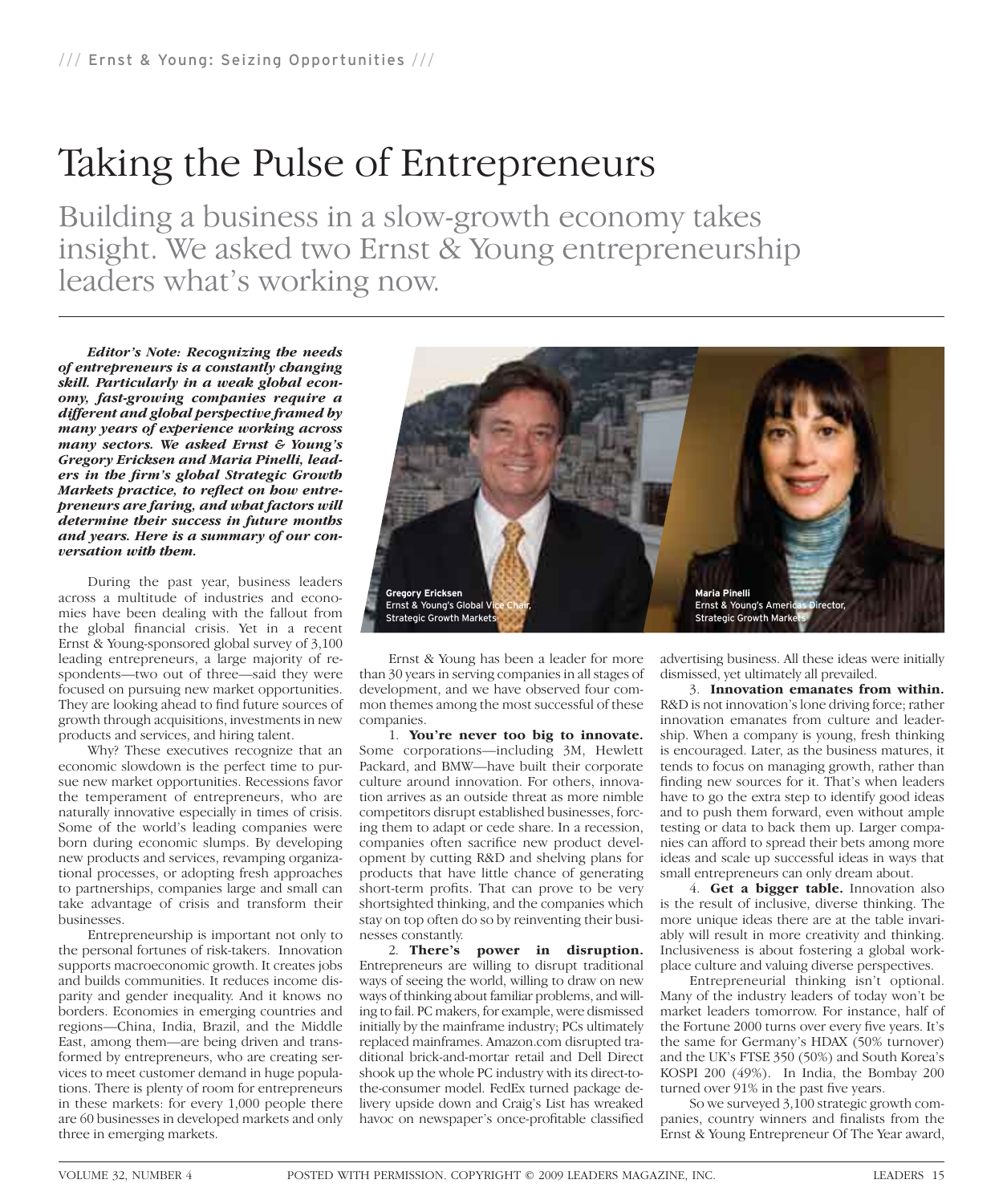## Taking the Pulse of Entrepreneurs

Building a business in a slow-growth economy takes insight. We asked two Ernst & Young entrepreneurship leaders what's working now.

*Editor's Note: Recognizing the needs of entrepreneurs is a constantly changing skill. Particularly in a weak global economy, fast-growing companies require a different and global perspective framed by many years of experience working across many sectors. We asked Ernst & Young's Gregory Ericksen and Maria Pinelli, lead*ers in the firm's global Strategic Growth *Markets practice, to reflect on bow entrepreneurs are faring, and what factors will determine their success in future months and years. Here is a summary of our conversation with them.*

During the past year, business leaders across a multitude of industries and economies have been dealing with the fallout from the global financial crisis. Yet in a recent Ernst & Young-sponsored global survey of 3,100 leading entrepreneurs, a large majority of respondents—two out of three—said they were focused on pursuing new market opportunities. They are looking ahead to find future sources of growth through acquisitions, investments in new products and services, and hiring talent.

Why? These executives recognize that an economic slowdown is the perfect time to pursue new market opportunities. Recessions favor the temperament of entrepreneurs, who are naturally innovative especially in times of crisis. Some of the world's leading companies were born during economic slumps. By developing new products and services, revamping organizational processes, or adopting fresh approaches to partnerships, companies large and small can take advantage of crisis and transform their businesses.

Entrepreneurship is important not only to the personal fortunes of risk-takers. Innovation supports macroeconomic growth. It creates jobs and builds communities. It reduces income disparity and gender inequality. And it knows no borders. Economies in emerging countries and regions—China, India, Brazil, and the Middle East, among them—are being driven and transformed by entrepreneurs, who are creating services to meet customer demand in huge populations. There is plenty of room for entrepreneurs in these markets: for every 1,000 people there are 60 businesses in developed markets and only three in emerging markets.



Ernst & Young has been a leader for more than 30 years in serving companies in all stages of development, and we have observed four common themes among the most successful of these companies.

1. **You're never too big to innovate.** Some corporations—including 3M, Hewlett Packard, and BMW—have built their corporate culture around innovation. For others, innovation arrives as an outside threat as more nimble competitors disrupt established businesses, forcing them to adapt or cede share. In a recession, companies often sacrifice new product development by cutting R&D and shelving plans for products that have little chance of generating short-term profits. That can prove to be very shortsighted thinking, and the companies which stay on top often do so by reinventing their businesses constantly.

2. **There's power in disruption.** Entrepreneurs are willing to disrupt traditional ways of seeing the world, willing to draw on new ways of thinking about familiar problems, and willing to fail. PC makers, for example, were dismissed initially by the mainframe industry; PCs ultimately replaced mainframes. Amazon.com disrupted traditional brick-and-mortar retail and Dell Direct shook up the whole PC industry with its direct-tothe-consumer model. FedEx turned package delivery upside down and Craig's List has wreaked havoc on newspaper's once-profitable classified

advertising business. All these ideas were initially dismissed, yet ultimately all prevailed.

3. **Innovation emanates from within.** R&D is not innovation's lone driving force; rather innovation emanates from culture and leadership. When a company is young, fresh thinking is encouraged. Later, as the business matures, it tends to focus on managing growth, rather than finding new sources for it. That's when leaders have to go the extra step to identify good ideas and to push them forward, even without ample testing or data to back them up. Larger companies can afford to spread their bets among more ideas and scale up successful ideas in ways that small entrepreneurs can only dream about.

4. **Get a bigger table.** Innovation also is the result of inclusive, diverse thinking. The more unique ideas there are at the table invariably will result in more creativity and thinking. Inclusiveness is about fostering a global workplace culture and valuing diverse perspectives.

Entrepreneurial thinking isn't optional. Many of the industry leaders of today won't be market leaders tomorrow. For instance, half of the Fortune 2000 turns over every five years. It's the same for Germany's HDAX (50% turnover) and the UK's FTSE 350 (50%) and South Korea's KOSPI 200 (49%). In India, the Bombay 200 turned over 91% in the past five years.

So we surveyed 3,100 strategic growth companies, country winners and finalists from the Ernst & Young Entrepreneur Of The Year award,